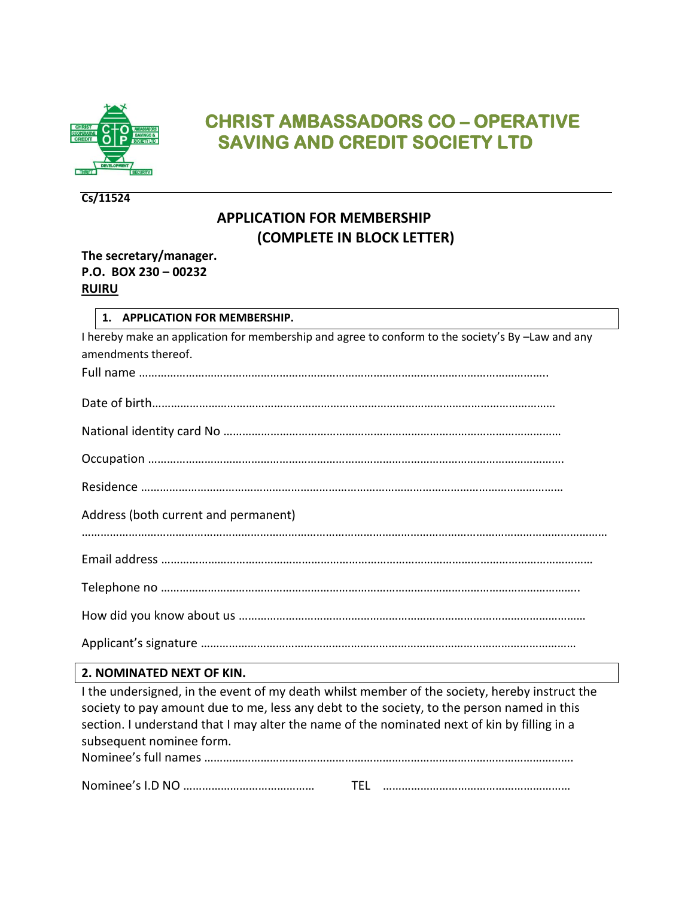

# **CHRIST AMBASSADORS CO – OPERATIVE SAVING AND CREDIT SOCIETY LTD**

#### **Cs/11524**

## **APPLICATION FOR MEMBERSHIP (COMPLETE IN BLOCK LETTER)**

#### **The secretary/manager. P.O. BOX 230 – 00232 RUIRU**

#### **1. APPLICATION FOR MEMBERSHIP.**

| I hereby make an application for membership and agree to conform to the society's By -Law and any |
|---------------------------------------------------------------------------------------------------|
| amendments thereof.                                                                               |
|                                                                                                   |

Residence ………………………………………………………………………………………………………………………

Address (both current and permanent)

|--|

How did you know about us …………………………………………………………………………………………………

Applicant's signature …………………………………………………………………………………………………………

### **2. NOMINATED NEXT OF KIN.**

| I the undersigned, in the event of my death whilst member of the society, hereby instruct the |
|-----------------------------------------------------------------------------------------------|
| society to pay amount due to me, less any debt to the society, to the person named in this    |
| section. I understand that I may alter the name of the nominated next of kin by filling in a  |
| subsequent nominee form.                                                                      |
|                                                                                               |
|                                                                                               |

|--|--|--|